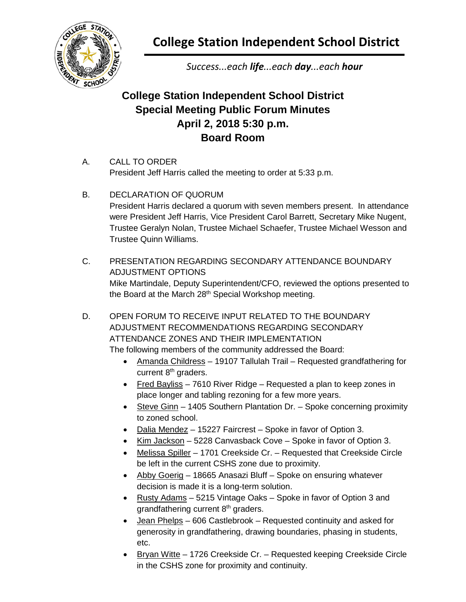

**College Station Independent School District**

*Success...each life...each day...each hour*

## **College Station Independent School District Special Meeting Public Forum Minutes April 2, 2018 5:30 p.m. Board Room**

- A. CALL TO ORDER President Jeff Harris called the meeting to order at 5:33 p.m.
- B. DECLARATION OF QUORUM President Harris declared a quorum with seven members present. In attendance were President Jeff Harris, Vice President Carol Barrett, Secretary Mike Nugent, Trustee Geralyn Nolan, Trustee Michael Schaefer, Trustee Michael Wesson and Trustee Quinn Williams.
- C. PRESENTATION REGARDING SECONDARY ATTENDANCE BOUNDARY ADJUSTMENT OPTIONS Mike Martindale, Deputy Superintendent/CFO, reviewed the options presented to the Board at the March 28<sup>th</sup> Special Workshop meeting.
- D. OPEN FORUM TO RECEIVE INPUT RELATED TO THE BOUNDARY ADJUSTMENT RECOMMENDATIONS REGARDING SECONDARY ATTENDANCE ZONES AND THEIR IMPLEMENTATION The following members of the community addressed the Board:
	- Amanda Childress 19107 Tallulah Trail Requested grandfathering for current 8<sup>th</sup> graders.
	- Fred Bayliss 7610 River Ridge Requested a plan to keep zones in place longer and tabling rezoning for a few more years.
	- Steve Ginn 1405 Southern Plantation Dr. Spoke concerning proximity to zoned school.
	- Dalia Mendez 15227 Faircrest Spoke in favor of Option 3.
	- Kim Jackson 5228 Canvasback Cove Spoke in favor of Option 3.
	- Melissa Spiller 1701 Creekside Cr. Requested that Creekside Circle be left in the current CSHS zone due to proximity.
	- Abby Goerig 18665 Anasazi Bluff Spoke on ensuring whatever decision is made it is a long-term solution.
	- Rusty Adams 5215 Vintage Oaks Spoke in favor of Option 3 and grandfathering current 8<sup>th</sup> graders.
	- Jean Phelps 606 Castlebrook Requested continuity and asked for generosity in grandfathering, drawing boundaries, phasing in students, etc.
	- Bryan Witte 1726 Creekside Cr. Requested keeping Creekside Circle in the CSHS zone for proximity and continuity.